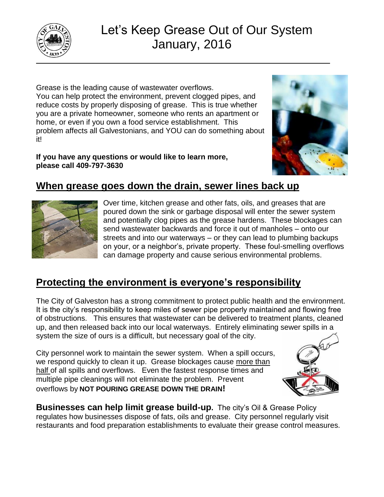

# Let's Keep Grease Out of Our System January, 2016

Grease is the leading cause of wastewater overflows. You can help protect the environment, prevent clogged pipes, and reduce costs by properly disposing of grease. This is true whether you are a private homeowner, someone who rents an apartment or home, or even if you own a food service establishment. This problem affects all Galvestonians, and YOU can do something about it!

**If you have any questions or would like to learn more, please call 409-797-3630**



# **When grease goes down the drain, sewer lines back up**



Over time, kitchen grease and other fats, oils, and greases that are poured down the sink or garbage disposal will enter the sewer system and potentially clog pipes as the grease hardens. These blockages can send wastewater backwards and force it out of manholes – onto our streets and into our waterways – or they can lead to plumbing backups on your, or a neighbor's, private property. These foul-smelling overflows can damage property and cause serious environmental problems.

## **Protecting the environment is everyone's responsibility**

The City of Galveston has a strong commitment to protect public health and the environment. It is the city's responsibility to keep miles of sewer pipe properly maintained and flowing free of obstructions. This ensures that wastewater can be delivered to treatment plants, cleaned up, and then released back into our local waterways. Entirely eliminating sewer spills in a system the size of ours is a difficult, but necessary goal of the city.

City personnel work to maintain the sewer system. When a spill occurs, we respond quickly to clean it up. Grease blockages cause more than half of all spills and overflows. Even the fastest response times and multiple pipe cleanings will not eliminate the problem. Prevent overflows by **NOT POURING GREASE DOWN THE DRAIN!**



**Businesses can help limit grease build-up.** The city's Oil & Grease Policy regulates how businesses dispose of fats, oils and grease. City personnel regularly visit restaurants and food preparation establishments to evaluate their grease control measures.